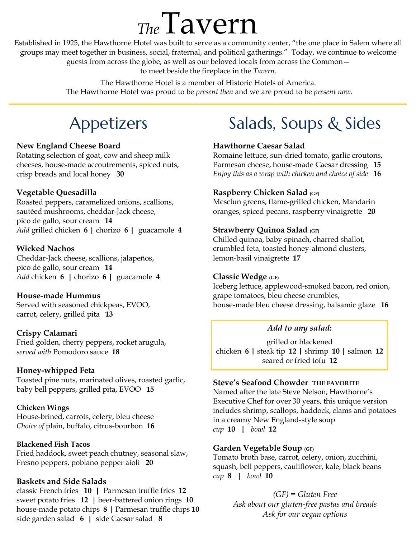# *The*Tavern

Established in 1925, the Hawthorne Hotel was built to serve as a community center, "the one place in Salem where all groups may meet together in business, social, fraternal, and political gatherings." Today, we continue to welcome guests from across the globe, as well as our beloved locals from across the Common—

to meet beside the fireplace in the *Tavern*.

The Hawthorne Hotel is a member of Historic Hotels of America. The Hawthorne Hotel was proud to be *present then* and we are proud to be *present now.*

### Appetizers

#### **New England Cheese Board**

Rotating selection of goat, cow and sheep milk cheeses, house-made accoutrements, spiced nuts, crisp breads and local honey **30**

#### **Vegetable Quesadilla**

Roasted peppers, caramelized onions, scallions, sautéed mushrooms, cheddar-Jack cheese, pico de gallo, sour cream **14** *Add* grilled chicken **6 |** chorizo **6 |** guacamole **4**

#### **Wicked Nachos**  Cheddar-Jack cheese, scallions, jalapeños, pico de gallo, sour cream **14**

*Add* chicken **6 |** chorizo **6 |** guacamole **4**

#### **House-made Hummus**

Served with seasoned chickpeas, EVOO, carrot, celery, grilled pita **13** 

#### **Crispy Calamari**

Fried golden, cherry peppers, rocket arugula, *served with* Pomodoro sauce **18**

#### **Honey-whipped Feta**

Toasted pine nuts, marinated olives, roasted garlic, baby bell peppers, grilled pita, EVOO **15**

#### **Chicken Wings**

House-brined, carrots, celery, bleu cheese *Choice of* plain, buffalo, citrus-bourbon **16**

#### **Blackened Fish Tacos**

Fried haddock, sweet peach chutney, seasonal slaw, Fresno peppers, poblano pepper aioli **20**

#### **Baskets and Side Salads**

classic French fries **10 |** Parmesan truffle fries **12** sweet potato fries **12 |** beer-battered onion rings **10** house-made potato chips **8 |** Parmesan truffle chips **10** side garden salad **6 |** side Caesar salad **8**

# Salads, Soups & Sides

#### **Hawthorne Caesar Salad**

Romaine lettuce, sun-dried tomato, garlic croutons, Parmesan cheese, house-made Caesar dressing **15** *Enjoy this as a wrap with chicken and choice of side* **16**

#### **Raspberry Chicken Salad (GF)**

Mesclun greens, flame-grilled chicken, Mandarin oranges, spiced pecans, raspberry vinaigrette **20**

#### **Strawberry Quinoa Salad (GF)**

Chilled quinoa, baby spinach, charred shallot, crumbled feta, toasted honey-almond clusters, lemon-basil vinaigrette **17**

#### **Classic Wedge (GF)**

Iceberg lettuce, applewood-smoked bacon, red onion, grape tomatoes, bleu cheese crumbles, house-made bleu cheese dressing, balsamic glaze **16**

#### *Add to any salad:*

grilled or blackened chicken **6** *|* steak tip **12** *|* shrimp **10 |** salmon **12** seared or fried tofu **12**

#### **Steve's Seafood Chowder THE FAVORITE**

Named after the late Steve Nelson, Hawthorne's Executive Chef for over 30 years, this unique version includes shrimp, scallops, haddock, clams and potatoes in a creamy New England-style soup *cup* **10 |** *bowl* **12**

#### **Garden Vegetable Soup (GF)**

Tomato broth base, carrot, celery, onion, zucchini, squash, bell peppers, cauliflower, kale, black beans *cup* **8 |** *bowl* **10**

> *(GF) = Gluten Free Ask about our gluten-free pastas and breads Ask for our vegan options*